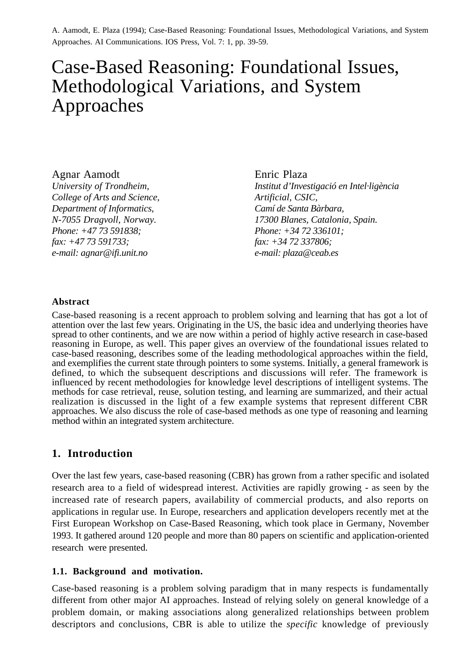A. Aamodt, E. Plaza (1994); Case-Based Reasoning: Foundational Issues, Methodological Variations, and System Approaches. AI Communications. IOS Press, Vol. 7: 1, pp. 39-59.

# Case-Based Reasoning: Foundational Issues, Methodological Variations, and System Approaches

Agnar Aamodt *University of Trondheim, College of Arts and Science, Department of Informatics, N-7055 Dragvoll, Norway. Phone: +47 73 591838; fax: +47 73 591733; e-mail: agnar@ifi.unit.no*

Enric Plaza

*Institut d'Investigació en Intel·ligència Artificial, CSIC, Camí de Santa Bàrbara, 17300 Blanes, Catalonia, Spain. Phone: +34 72 336101; fax: +34 72 337806; e-mail: plaza@ceab.es*

### **Abstract**

Case-based reasoning is a recent approach to problem solving and learning that has got a lot of attention over the last few years. Originating in the US, the basic idea and underlying theories have spread to other continents, and we are now within a period of highly active research in case-based reasoning in Europe, as well. This paper gives an overview of the foundational issues related to case-based reasoning, describes some of the leading methodological approaches within the field, and exemplifies the current state through pointers to some systems. Initially, a general framework is defined, to which the subsequent descriptions and discussions will refer. The framework is influenced by recent methodologies for knowledge level descriptions of intelligent systems. The methods for case retrieval, reuse, solution testing, and learning are summarized, and their actual realization is discussed in the light of a few example systems that represent different CBR approaches. We also discuss the role of case-based methods as one type of reasoning and learning method within an integrated system architecture.

# **1. Introduction**

Over the last few years, case-based reasoning (CBR) has grown from a rather specific and isolated research area to a field of widespread interest. Activities are rapidly growing - as seen by the increased rate of research papers, availability of commercial products, and also reports on applications in regular use. In Europe, researchers and application developers recently met at the First European Workshop on Case-Based Reasoning, which took place in Germany, November 1993. It gathered around 120 people and more than 80 papers on scientific and application-oriented research were presented.

### **1.1. Background and motivation.**

Case-based reasoning is a problem solving paradigm that in many respects is fundamentally different from other major AI approaches. Instead of relying solely on general knowledge of a problem domain, or making associations along generalized relationships between problem descriptors and conclusions, CBR is able to utilize the *specific* knowledge of previously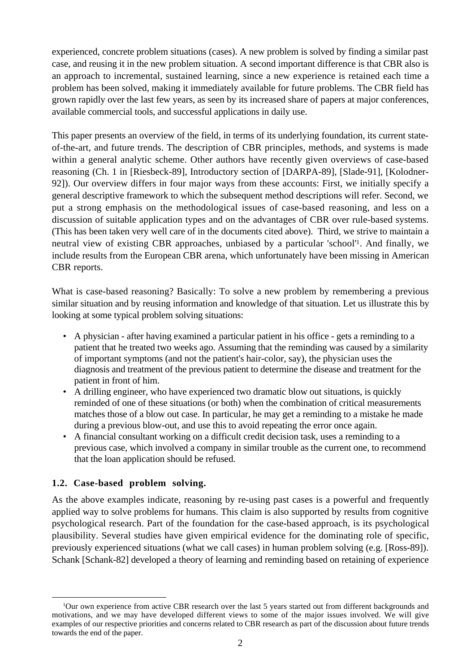experienced, concrete problem situations (cases). A new problem is solved by finding a similar past case, and reusing it in the new problem situation. A second important difference is that CBR also is an approach to incremental, sustained learning, since a new experience is retained each time a problem has been solved, making it immediately available for future problems. The CBR field has grown rapidly over the last few years, as seen by its increased share of papers at major conferences, available commercial tools, and successful applications in daily use.

This paper presents an overview of the field, in terms of its underlying foundation, its current stateof-the-art, and future trends. The description of CBR principles, methods, and systems is made within a general analytic scheme. Other authors have recently given overviews of case-based reasoning (Ch. 1 in [Riesbeck-89], Introductory section of [DARPA-89], [Slade-91], [Kolodner-92]). Our overview differs in four major ways from these accounts: First, we initially specify a general descriptive framework to which the subsequent method descriptions will refer. Second, we put a strong emphasis on the methodological issues of case-based reasoning, and less on a discussion of suitable application types and on the advantages of CBR over rule-based systems. (This has been taken very well care of in the documents cited above). Third, we strive to maintain a neutral view of existing CBR approaches, unbiased by a particular 'school'1. And finally, we include results from the European CBR arena, which unfortunately have been missing in American CBR reports.

What is case-based reasoning? Basically: To solve a new problem by remembering a previous similar situation and by reusing information and knowledge of that situation. Let us illustrate this by looking at some typical problem solving situations:

- A physician after having examined a particular patient in his office gets a reminding to a patient that he treated two weeks ago. Assuming that the reminding was caused by a similarity of important symptoms (and not the patient's hair-color, say), the physician uses the diagnosis and treatment of the previous patient to determine the disease and treatment for the patient in front of him.
- A drilling engineer, who have experienced two dramatic blow out situations, is quickly reminded of one of these situations (or both) when the combination of critical measurements matches those of a blow out case. In particular, he may get a reminding to a mistake he made during a previous blow-out, and use this to avoid repeating the error once again.
- A financial consultant working on a difficult credit decision task, uses a reminding to a previous case, which involved a company in similar trouble as the current one, to recommend that the loan application should be refused.

# **1.2. Case-based problem solving.**

As the above examples indicate, reasoning by re-using past cases is a powerful and frequently applied way to solve problems for humans. This claim is also supported by results from cognitive psychological research. Part of the foundation for the case-based approach, is its psychological plausibility. Several studies have given empirical evidence for the dominating role of specific, previously experienced situations (what we call cases) in human problem solving (e.g. [Ross-89]). Schank [Schank-82] developed a theory of learning and reminding based on retaining of experience

<sup>&</sup>lt;sup>1</sup>Our own experience from active CBR research over the last 5 years started out from different backgrounds and motivations, and we may have developed different views to some of the major issues involved. We will give examples of our respective priorities and concerns related to CBR research as part of the discussion about future trends towards the end of the paper.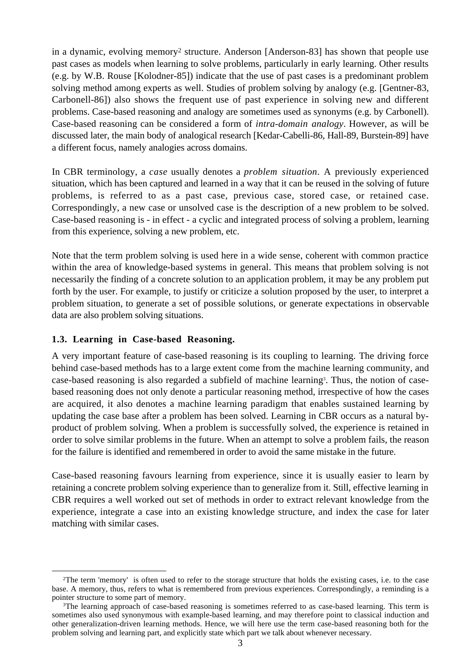in a dynamic, evolving memory2 structure. Anderson [Anderson-83] has shown that people use past cases as models when learning to solve problems, particularly in early learning. Other results (e.g. by W.B. Rouse [Kolodner-85]) indicate that the use of past cases is a predominant problem solving method among experts as well. Studies of problem solving by analogy (e.g. [Gentner-83, Carbonell-86]) also shows the frequent use of past experience in solving new and different problems. Case-based reasoning and analogy are sometimes used as synonyms (e.g. by Carbonell). Case-based reasoning can be considered a form of *intra-domain analogy*. However, as will be discussed later, the main body of analogical research [Kedar-Cabelli-86, Hall-89, Burstein-89] have a different focus, namely analogies across domains.

In CBR terminology, a *case* usually denotes a *problem situation*. A previously experienced situation, which has been captured and learned in a way that it can be reused in the solving of future problems, is referred to as a past case, previous case, stored case, or retained case. Correspondingly, a new case or unsolved case is the description of a new problem to be solved. Case-based reasoning is - in effect - a cyclic and integrated process of solving a problem, learning from this experience, solving a new problem, etc.

Note that the term problem solving is used here in a wide sense, coherent with common practice within the area of knowledge-based systems in general. This means that problem solving is not necessarily the finding of a concrete solution to an application problem, it may be any problem put forth by the user. For example, to justify or criticize a solution proposed by the user, to interpret a problem situation, to generate a set of possible solutions, or generate expectations in observable data are also problem solving situations.

### **1.3. Learning in Case-based Reasoning.**

A very important feature of case-based reasoning is its coupling to learning. The driving force behind case-based methods has to a large extent come from the machine learning community, and case-based reasoning is also regarded a subfield of machine learning<sup>3</sup>. Thus, the notion of casebased reasoning does not only denote a particular reasoning method, irrespective of how the cases are acquired, it also denotes a machine learning paradigm that enables sustained learning by updating the case base after a problem has been solved. Learning in CBR occurs as a natural byproduct of problem solving. When a problem is successfully solved, the experience is retained in order to solve similar problems in the future. When an attempt to solve a problem fails, the reason for the failure is identified and remembered in order to avoid the same mistake in the future.

Case-based reasoning favours learning from experience, since it is usually easier to learn by retaining a concrete problem solving experience than to generalize from it. Still, effective learning in CBR requires a well worked out set of methods in order to extract relevant knowledge from the experience, integrate a case into an existing knowledge structure, and index the case for later matching with similar cases.

<sup>2</sup>The term 'memory' is often used to refer to the storage structure that holds the existing cases, i.e. to the case base. A memory, thus, refers to what is remembered from previous experiences. Correspondingly, a reminding is a pointer structure to some part of memory.

<sup>&</sup>lt;sup>3</sup>The learning approach of case-based reasoning is sometimes referred to as case-based learning. This term is sometimes also used synonymous with example-based learning, and may therefore point to classical induction and other generalization-driven learning methods. Hence, we will here use the term case-based reasoning both for the problem solving and learning part, and explicitly state which part we talk about whenever necessary.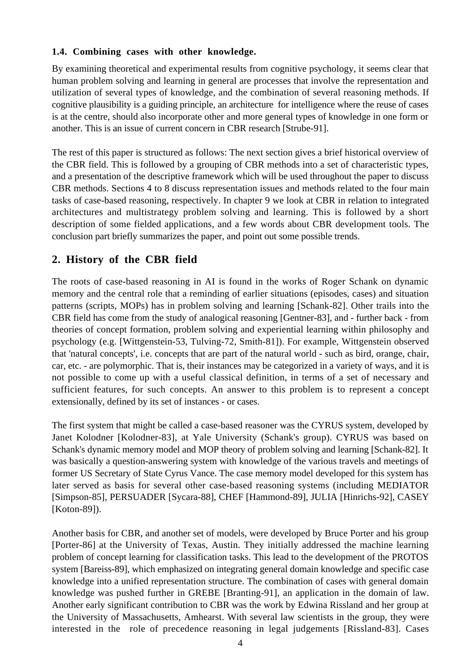# **1.4. Combining cases with other knowledge.**

By examining theoretical and experimental results from cognitive psychology, it seems clear that human problem solving and learning in general are processes that involve the representation and utilization of several types of knowledge, and the combination of several reasoning methods. If cognitive plausibility is a guiding principle, an architecture for intelligence where the reuse of cases is at the centre, should also incorporate other and more general types of knowledge in one form or another. This is an issue of current concern in CBR research [Strube-91].

The rest of this paper is structured as follows: The next section gives a brief historical overview of the CBR field. This is followed by a grouping of CBR methods into a set of characteristic types, and a presentation of the descriptive framework which will be used throughout the paper to discuss CBR methods. Sections 4 to 8 discuss representation issues and methods related to the four main tasks of case-based reasoning, respectively. In chapter 9 we look at CBR in relation to integrated architectures and multistrategy problem solving and learning. This is followed by a short description of some fielded applications, and a few words about CBR development tools. The conclusion part briefly summarizes the paper, and point out some possible trends.

# **2. History of the CBR field**

The roots of case-based reasoning in AI is found in the works of Roger Schank on dynamic memory and the central role that a reminding of earlier situations (episodes, cases) and situation patterns (scripts, MOPs) has in problem solving and learning [Schank-82]. Other trails into the CBR field has come from the study of analogical reasoning [Gentner-83], and - further back - from theories of concept formation, problem solving and experiential learning within philosophy and psychology (e.g. [Wittgenstein-53, Tulving-72, Smith-81]). For example, Wittgenstein observed that 'natural concepts', i.e. concepts that are part of the natural world - such as bird, orange, chair, car, etc. - are polymorphic. That is, their instances may be categorized in a variety of ways, and it is not possible to come up with a useful classical definition, in terms of a set of necessary and sufficient features, for such concepts. An answer to this problem is to represent a concept extensionally, defined by its set of instances - or cases.

The first system that might be called a case-based reasoner was the CYRUS system, developed by Janet Kolodner [Kolodner-83], at Yale University (Schank's group). CYRUS was based on Schank's dynamic memory model and MOP theory of problem solving and learning [Schank-82]. It was basically a question-answering system with knowledge of the various travels and meetings of former US Secretary of State Cyrus Vance. The case memory model developed for this system has later served as basis for several other case-based reasoning systems (including MEDIATOR [Simpson-85], PERSUADER [Sycara-88], CHEF [Hammond-89], JULIA [Hinrichs-92], CASEY [Koton-89]).

Another basis for CBR, and another set of models, were developed by Bruce Porter and his group [Porter-86] at the University of Texas, Austin. They initially addressed the machine learning problem of concept learning for classification tasks. This lead to the development of the PROTOS system [Bareiss-89], which emphasized on integrating general domain knowledge and specific case knowledge into a unified representation structure. The combination of cases with general domain knowledge was pushed further in GREBE [Branting-91], an application in the domain of law. Another early significant contribution to CBR was the work by Edwina Rissland and her group at the University of Massachusetts, Amhearst. With several law scientists in the group, they were interested in the role of precedence reasoning in legal judgements [Rissland-83]. Cases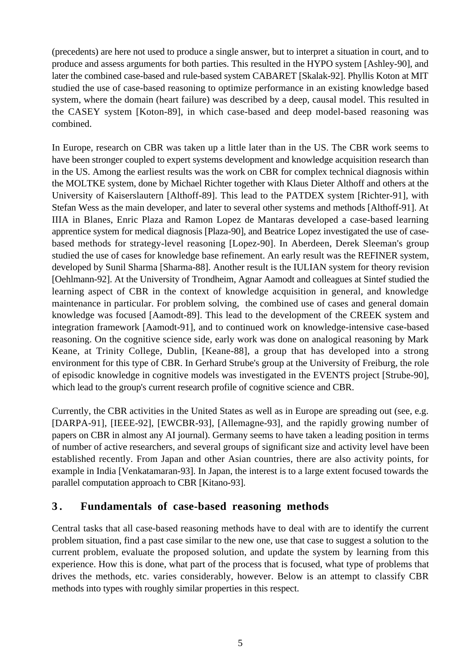(precedents) are here not used to produce a single answer, but to interpret a situation in court, and to produce and assess arguments for both parties. This resulted in the HYPO system [Ashley-90], and later the combined case-based and rule-based system CABARET [Skalak-92]. Phyllis Koton at MIT studied the use of case-based reasoning to optimize performance in an existing knowledge based system, where the domain (heart failure) was described by a deep, causal model. This resulted in the CASEY system [Koton-89], in which case-based and deep model-based reasoning was combined.

In Europe, research on CBR was taken up a little later than in the US. The CBR work seems to have been stronger coupled to expert systems development and knowledge acquisition research than in the US. Among the earliest results was the work on CBR for complex technical diagnosis within the MOLTKE system, done by Michael Richter together with Klaus Dieter Althoff and others at the University of Kaiserslautern [Althoff-89]. This lead to the PATDEX system [Richter-91], with Stefan Wess as the main developer, and later to several other systems and methods [Althoff-91]. At IIIA in Blanes, Enric Plaza and Ramon Lopez de Mantaras developed a case-based learning apprentice system for medical diagnosis [Plaza-90], and Beatrice Lopez investigated the use of casebased methods for strategy-level reasoning [Lopez-90]. In Aberdeen, Derek Sleeman's group studied the use of cases for knowledge base refinement. An early result was the REFINER system, developed by Sunil Sharma [Sharma-88]. Another result is the IULIAN system for theory revision [Oehlmann-92]. At the University of Trondheim, Agnar Aamodt and colleagues at Sintef studied the learning aspect of CBR in the context of knowledge acquisition in general, and knowledge maintenance in particular. For problem solving, the combined use of cases and general domain knowledge was focused [Aamodt-89]. This lead to the development of the CREEK system and integration framework [Aamodt-91], and to continued work on knowledge-intensive case-based reasoning. On the cognitive science side, early work was done on analogical reasoning by Mark Keane, at Trinity College, Dublin, [Keane-88], a group that has developed into a strong environment for this type of CBR. In Gerhard Strube's group at the University of Freiburg, the role of episodic knowledge in cognitive models was investigated in the EVENTS project [Strube-90], which lead to the group's current research profile of cognitive science and CBR.

Currently, the CBR activities in the United States as well as in Europe are spreading out (see, e.g. [DARPA-91], [IEEE-92], [EWCBR-93], [Allemagne-93], and the rapidly growing number of papers on CBR in almost any AI journal). Germany seems to have taken a leading position in terms of number of active researchers, and several groups of significant size and activity level have been established recently. From Japan and other Asian countries, there are also activity points, for example in India [Venkatamaran-93]. In Japan, the interest is to a large extent focused towards the parallel computation approach to CBR [Kitano-93].

# **3 . Fundamentals of case-based reasoning methods**

Central tasks that all case-based reasoning methods have to deal with are to identify the current problem situation, find a past case similar to the new one, use that case to suggest a solution to the current problem, evaluate the proposed solution, and update the system by learning from this experience. How this is done, what part of the process that is focused, what type of problems that drives the methods, etc. varies considerably, however. Below is an attempt to classify CBR methods into types with roughly similar properties in this respect.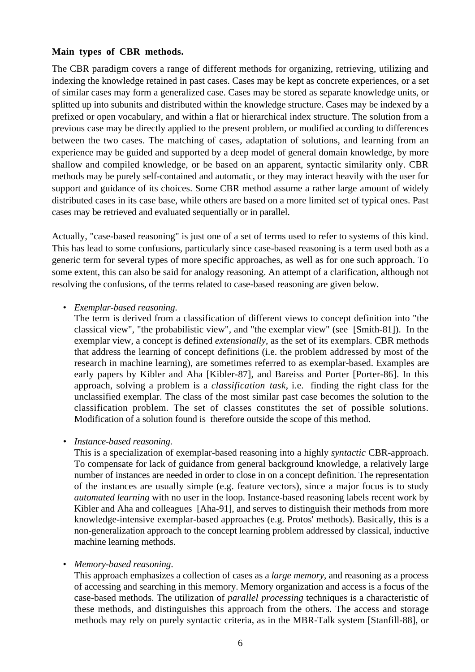### **Main types of CBR methods.**

The CBR paradigm covers a range of different methods for organizing, retrieving, utilizing and indexing the knowledge retained in past cases. Cases may be kept as concrete experiences, or a set of similar cases may form a generalized case. Cases may be stored as separate knowledge units, or splitted up into subunits and distributed within the knowledge structure. Cases may be indexed by a prefixed or open vocabulary, and within a flat or hierarchical index structure. The solution from a previous case may be directly applied to the present problem, or modified according to differences between the two cases. The matching of cases, adaptation of solutions, and learning from an experience may be guided and supported by a deep model of general domain knowledge, by more shallow and compiled knowledge, or be based on an apparent, syntactic similarity only. CBR methods may be purely self-contained and automatic, or they may interact heavily with the user for support and guidance of its choices. Some CBR method assume a rather large amount of widely distributed cases in its case base, while others are based on a more limited set of typical ones. Past cases may be retrieved and evaluated sequentially or in parallel.

Actually, "case-based reasoning" is just one of a set of terms used to refer to systems of this kind. This has lead to some confusions, particularly since case-based reasoning is a term used both as a generic term for several types of more specific approaches, as well as for one such approach. To some extent, this can also be said for analogy reasoning. An attempt of a clarification, although not resolving the confusions, of the terms related to case-based reasoning are given below.

• *Exemplar-based reasoning*.

The term is derived from a classification of different views to concept definition into "the classical view", "the probabilistic view", and "the exemplar view" (see [Smith-81]). In the exemplar view, a concept is defined *extensionally*, as the set of its exemplars. CBR methods that address the learning of concept definitions (i.e. the problem addressed by most of the research in machine learning), are sometimes referred to as exemplar-based. Examples are early papers by Kibler and Aha [Kibler-87], and Bareiss and Porter [Porter-86]. In this approach, solving a problem is a *classification task*, i.e. finding the right class for the unclassified exemplar. The class of the most similar past case becomes the solution to the classification problem. The set of classes constitutes the set of possible solutions. Modification of a solution found is therefore outside the scope of this method.

• *Instance-based reasoning*.

This is a specialization of exemplar-based reasoning into a highly *syntactic* CBR-approach. To compensate for lack of guidance from general background knowledge, a relatively large number of instances are needed in order to close in on a concept definition. The representation of the instances are usually simple (e.g. feature vectors), since a major focus is to study *automated learning* with no user in the loop. Instance-based reasoning labels recent work by Kibler and Aha and colleagues [Aha-91], and serves to distinguish their methods from more knowledge-intensive exemplar-based approaches (e.g. Protos' methods). Basically, this is a non-generalization approach to the concept learning problem addressed by classical, inductive machine learning methods.

• *Memory-based reasoning*.

This approach emphasizes a collection of cases as a *large memory*, and reasoning as a process of accessing and searching in this memory. Memory organization and access is a focus of the case-based methods. The utilization of *parallel processing* techniques is a characteristic of these methods, and distinguishes this approach from the others. The access and storage methods may rely on purely syntactic criteria, as in the MBR-Talk system [Stanfill-88], or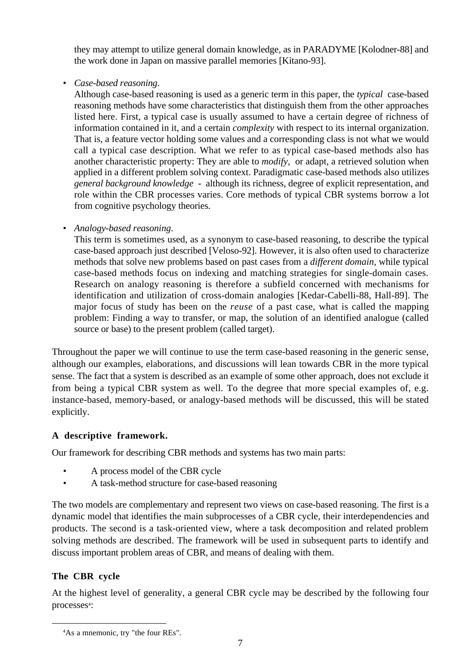they may attempt to utilize general domain knowledge, as in PARADYME [Kolodner-88] and the work done in Japan on massive parallel memories [Kitano-93].

• *Case-based reasoning*.

Although case-based reasoning is used as a generic term in this paper, the *typical* case-based reasoning methods have some characteristics that distinguish them from the other approaches listed here. First, a typical case is usually assumed to have a certain degree of richness of information contained in it, and a certain *complexity* with respect to its internal organization. That is, a feature vector holding some values and a corresponding class is not what we would call a typical case description. What we refer to as typical case-based methods also has another characteristic property: They are able to *modify*, or adapt, a retrieved solution when applied in a different problem solving context. Paradigmatic case-based methods also utilizes *general background knowledge* - although its richness, degree of explicit representation, and role within the CBR processes varies. Core methods of typical CBR systems borrow a lot from cognitive psychology theories.

• *Analogy-based reasoning*.

This term is sometimes used, as a synonym to case-based reasoning, to describe the typical case-based approach just described [Veloso-92]. However, it is also often used to characterize methods that solve new problems based on past cases from a *different domain,* while typical case-based methods focus on indexing and matching strategies for single-domain cases. Research on analogy reasoning is therefore a subfield concerned with mechanisms for identification and utilization of cross-domain analogies [Kedar-Cabelli-88, Hall-89]. The major focus of study has been on the *reuse* of a past case, what is called the mapping problem: Finding a way to transfer, or map, the solution of an identified analogue (called source or base) to the present problem (called target).

Throughout the paper we will continue to use the term case-based reasoning in the generic sense, although our examples, elaborations, and discussions will lean towards CBR in the more typical sense. The fact that a system is described as an example of some other approach, does not exclude it from being a typical CBR system as well. To the degree that more special examples of, e.g. instance-based, memory-based, or analogy-based methods will be discussed, this will be stated explicitly.

# **A descriptive framework.**

Our framework for describing CBR methods and systems has two main parts:

- A process model of the CBR cycle
- A task-method structure for case-based reasoning

The two models are complementary and represent two views on case-based reasoning. The first is a dynamic model that identifies the main subprocesses of a CBR cycle, their interdependencies and products. The second is a task-oriented view, where a task decomposition and related problem solving methods are described. The framework will be used in subsequent parts to identify and discuss important problem areas of CBR, and means of dealing with them.

# **The CBR cycle**

At the highest level of generality, a general CBR cycle may be described by the following four processes<sup>4</sup>:

<sup>4</sup>As a mnemonic, try "the four REs".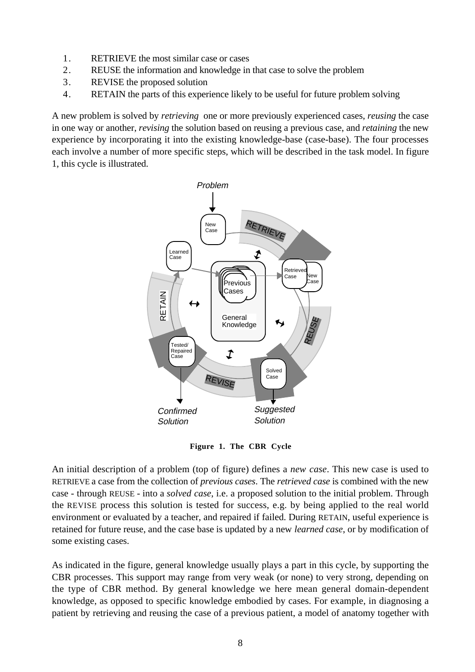- 1. RETRIEVE the most similar case or cases
- 2. REUSE the information and knowledge in that case to solve the problem
- 3. REVISE the proposed solution
- 4. RETAIN the parts of this experience likely to be useful for future problem solving

A new problem is solved by *retrieving* one or more previously experienced cases, *reusing* the case in one way or another, *revising* the solution based on reusing a previous case, and *retaining* the new experience by incorporating it into the existing knowledge-base (case-base). The four processes each involve a number of more specific steps, which will be described in the task model. In figure 1, this cycle is illustrated.



**Figure 1. The CBR Cycle**

An initial description of a problem (top of figure) defines a *new case*. This new case is used to RETRIEVE a case from the collection of *previous cases*. The *retrieved case* is combined with the new case - through REUSE - into a *solved case*, i.e. a proposed solution to the initial problem. Through the REVISE process this solution is tested for success, e.g. by being applied to the real world environment or evaluated by a teacher, and repaired if failed. During RETAIN, useful experience is retained for future reuse, and the case base is updated by a new *learned case*, or by modification of some existing cases.

As indicated in the figure, general knowledge usually plays a part in this cycle, by supporting the CBR processes. This support may range from very weak (or none) to very strong, depending on the type of CBR method. By general knowledge we here mean general domain-dependent knowledge, as opposed to specific knowledge embodied by cases. For example, in diagnosing a patient by retrieving and reusing the case of a previous patient, a model of anatomy together with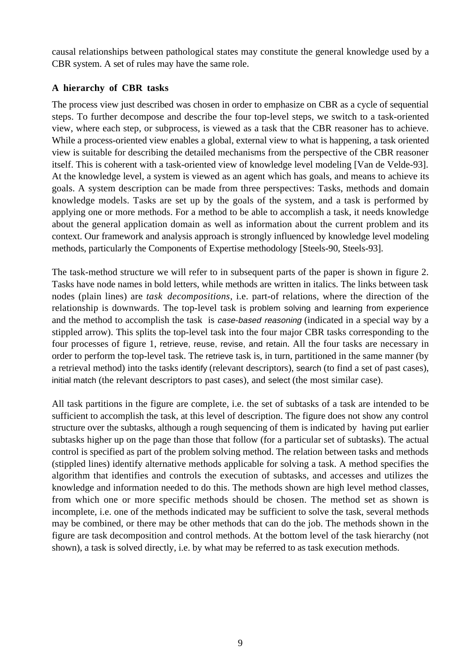causal relationships between pathological states may constitute the general knowledge used by a CBR system. A set of rules may have the same role.

# **A hierarchy of CBR tasks**

The process view just described was chosen in order to emphasize on CBR as a cycle of sequential steps. To further decompose and describe the four top-level steps, we switch to a task-oriented view, where each step, or subprocess, is viewed as a task that the CBR reasoner has to achieve. While a process-oriented view enables a global, external view to what is happening, a task oriented view is suitable for describing the detailed mechanisms from the perspective of the CBR reasoner itself. This is coherent with a task-oriented view of knowledge level modeling [Van de Velde-93]. At the knowledge level, a system is viewed as an agent which has goals, and means to achieve its goals. A system description can be made from three perspectives: Tasks, methods and domain knowledge models. Tasks are set up by the goals of the system, and a task is performed by applying one or more methods. For a method to be able to accomplish a task, it needs knowledge about the general application domain as well as information about the current problem and its context. Our framework and analysis approach is strongly influenced by knowledge level modeling methods, particularly the Components of Expertise methodology [Steels-90, Steels-93].

The task-method structure we will refer to in subsequent parts of the paper is shown in figure 2. Tasks have node names in bold letters, while methods are written in italics. The links between task nodes (plain lines) are *task decompositions*, i.e. part-of relations, where the direction of the relationship is downwards. The top-level task is problem solving and learning from experience and the method to accomplish the task is case-based reasoning (indicated in a special way by a stippled arrow). This splits the top-level task into the four major CBR tasks corresponding to the four processes of figure 1, retrieve, reuse, revise, and retain. All the four tasks are necessary in order to perform the top-level task. The retrieve task is, in turn, partitioned in the same manner (by a retrieval method) into the tasks identify (relevant descriptors), search (to find a set of past cases), initial match (the relevant descriptors to past cases), and select (the most similar case).

All task partitions in the figure are complete, i.e. the set of subtasks of a task are intended to be sufficient to accomplish the task, at this level of description. The figure does not show any control structure over the subtasks, although a rough sequencing of them is indicated by having put earlier subtasks higher up on the page than those that follow (for a particular set of subtasks). The actual control is specified as part of the problem solving method. The relation between tasks and methods (stippled lines) identify alternative methods applicable for solving a task. A method specifies the algorithm that identifies and controls the execution of subtasks, and accesses and utilizes the knowledge and information needed to do this. The methods shown are high level method classes, from which one or more specific methods should be chosen. The method set as shown is incomplete, i.e. one of the methods indicated may be sufficient to solve the task, several methods may be combined, or there may be other methods that can do the job. The methods shown in the figure are task decomposition and control methods. At the bottom level of the task hierarchy (not shown), a task is solved directly, i.e. by what may be referred to as task execution methods.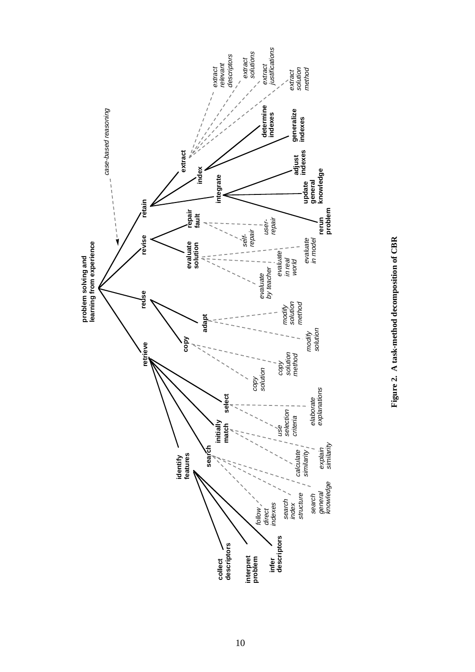

Figure 2. A task-method decomposition of CBR **Figure 2. A task-method decomposition of CBR**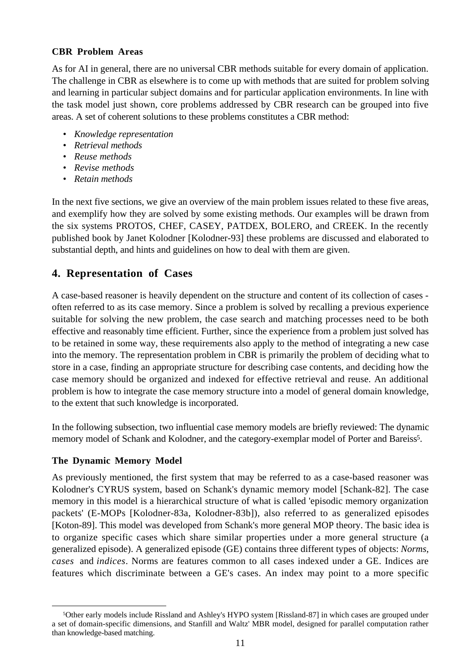# **CBR Problem Areas**

As for AI in general, there are no universal CBR methods suitable for every domain of application. The challenge in CBR as elsewhere is to come up with methods that are suited for problem solving and learning in particular subject domains and for particular application environments. In line with the task model just shown, core problems addressed by CBR research can be grouped into five areas. A set of coherent solutions to these problems constitutes a CBR method:

- *Knowledge representation*
- *Retrieval methods*
- *Reuse methods*
- *Revise methods*
- *Retain methods*

In the next five sections, we give an overview of the main problem issues related to these five areas, and exemplify how they are solved by some existing methods. Our examples will be drawn from the six systems PROTOS, CHEF, CASEY, PATDEX, BOLERO, and CREEK. In the recently published book by Janet Kolodner [Kolodner-93] these problems are discussed and elaborated to substantial depth, and hints and guidelines on how to deal with them are given.

# **4. Representation of Cases**

A case-based reasoner is heavily dependent on the structure and content of its collection of cases often referred to as its case memory. Since a problem is solved by recalling a previous experience suitable for solving the new problem, the case search and matching processes need to be both effective and reasonably time efficient. Further, since the experience from a problem just solved has to be retained in some way, these requirements also apply to the method of integrating a new case into the memory. The representation problem in CBR is primarily the problem of deciding what to store in a case, finding an appropriate structure for describing case contents, and deciding how the case memory should be organized and indexed for effective retrieval and reuse. An additional problem is how to integrate the case memory structure into a model of general domain knowledge, to the extent that such knowledge is incorporated.

In the following subsection, two influential case memory models are briefly reviewed: The dynamic memory model of Schank and Kolodner, and the category-exemplar model of Porter and Bareiss<sup>5</sup>.

# **The Dynamic Memory Model**

As previously mentioned, the first system that may be referred to as a case-based reasoner was Kolodner's CYRUS system, based on Schank's dynamic memory model [Schank-82]. The case memory in this model is a hierarchical structure of what is called 'episodic memory organization packets' (E-MOPs [Kolodner-83a, Kolodner-83b]), also referred to as generalized episodes [Koton-89]. This model was developed from Schank's more general MOP theory. The basic idea is to organize specific cases which share similar properties under a more general structure (a generalized episode). A generalized episode (GE) contains three different types of objects: *Norms*, *cases* and *indices*. Norms are features common to all cases indexed under a GE. Indices are features which discriminate between a GE's cases. An index may point to a more specific

<sup>5</sup>Other early models include Rissland and Ashley's HYPO system [Rissland-87] in which cases are grouped under a set of domain-specific dimensions, and Stanfill and Waltz' MBR model, designed for parallel computation rather than knowledge-based matching.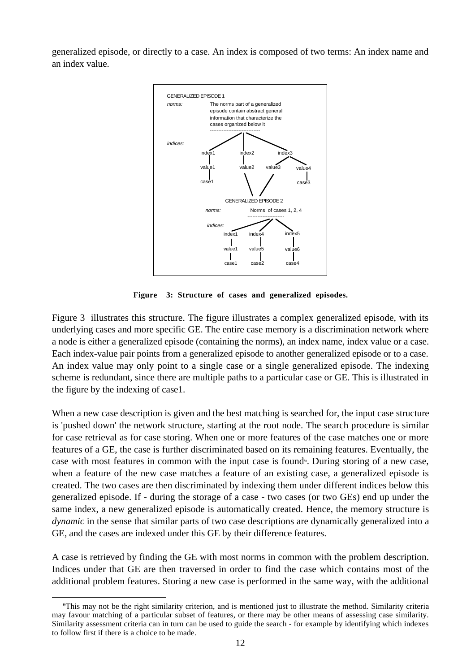generalized episode, or directly to a case. An index is composed of two terms: An index name and an index value.



**Figure 3: Structure of cases and generalized episodes.**

Figure 3 illustrates this structure. The figure illustrates a complex generalized episode, with its underlying cases and more specific GE. The entire case memory is a discrimination network where a node is either a generalized episode (containing the norms), an index name, index value or a case. Each index-value pair points from a generalized episode to another generalized episode or to a case. An index value may only point to a single case or a single generalized episode. The indexing scheme is redundant, since there are multiple paths to a particular case or GE. This is illustrated in the figure by the indexing of case1.

When a new case description is given and the best matching is searched for, the input case structure is 'pushed down' the network structure, starting at the root node. The search procedure is similar for case retrieval as for case storing. When one or more features of the case matches one or more features of a GE, the case is further discriminated based on its remaining features. Eventually, the case with most features in common with the input case is found<sup> $6$ </sup>. During storing of a new case, when a feature of the new case matches a feature of an existing case, a generalized episode is created. The two cases are then discriminated by indexing them under different indices below this generalized episode. If - during the storage of a case - two cases (or two GEs) end up under the same index, a new generalized episode is automatically created. Hence, the memory structure is *dynamic* in the sense that similar parts of two case descriptions are dynamically generalized into a GE, and the cases are indexed under this GE by their difference features.

A case is retrieved by finding the GE with most norms in common with the problem description. Indices under that GE are then traversed in order to find the case which contains most of the additional problem features. Storing a new case is performed in the same way, with the additional

<sup>6</sup>This may not be the right similarity criterion, and is mentioned just to illustrate the method. Similarity criteria may favour matching of a particular subset of features, or there may be other means of assessing case similarity. Similarity assessment criteria can in turn can be used to guide the search - for example by identifying which indexes to follow first if there is a choice to be made.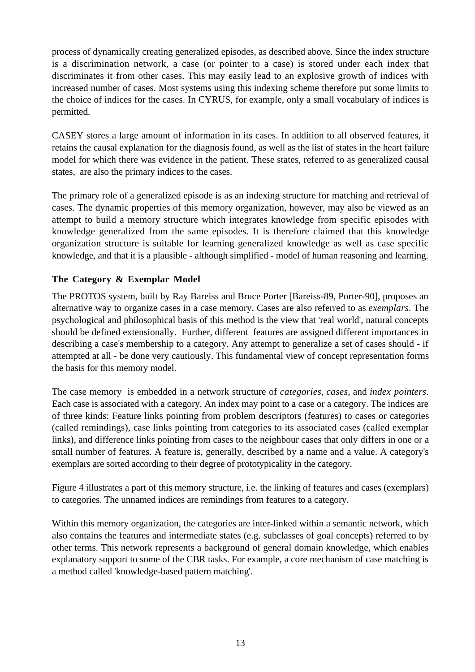process of dynamically creating generalized episodes, as described above. Since the index structure is a discrimination network, a case (or pointer to a case) is stored under each index that discriminates it from other cases. This may easily lead to an explosive growth of indices with increased number of cases. Most systems using this indexing scheme therefore put some limits to the choice of indices for the cases. In CYRUS, for example, only a small vocabulary of indices is permitted.

CASEY stores a large amount of information in its cases. In addition to all observed features, it retains the causal explanation for the diagnosis found, as well as the list of states in the heart failure model for which there was evidence in the patient. These states, referred to as generalized causal states, are also the primary indices to the cases.

The primary role of a generalized episode is as an indexing structure for matching and retrieval of cases. The dynamic properties of this memory organization, however, may also be viewed as an attempt to build a memory structure which integrates knowledge from specific episodes with knowledge generalized from the same episodes. It is therefore claimed that this knowledge organization structure is suitable for learning generalized knowledge as well as case specific knowledge, and that it is a plausible - although simplified - model of human reasoning and learning.

# **The Category & Exemplar Model**

The PROTOS system, built by Ray Bareiss and Bruce Porter [Bareiss-89, Porter-90], proposes an alternative way to organize cases in a case memory. Cases are also referred to as *exemplars*. The psychological and philosophical basis of this method is the view that 'real world', natural concepts should be defined extensionally. Further, different features are assigned different importances in describing a case's membership to a category. Any attempt to generalize a set of cases should - if attempted at all - be done very cautiously. This fundamental view of concept representation forms the basis for this memory model.

The case memory is embedded in a network structure of *categories*, *cases*, and *index pointers*. Each case is associated with a category. An index may point to a case or a category. The indices are of three kinds: Feature links pointing from problem descriptors (features) to cases or categories (called remindings), case links pointing from categories to its associated cases (called exemplar links), and difference links pointing from cases to the neighbour cases that only differs in one or a small number of features. A feature is, generally, described by a name and a value. A category's exemplars are sorted according to their degree of prototypicality in the category.

Figure 4 illustrates a part of this memory structure, i.e. the linking of features and cases (exemplars) to categories. The unnamed indices are remindings from features to a category.

Within this memory organization, the categories are inter-linked within a semantic network, which also contains the features and intermediate states (e.g. subclasses of goal concepts) referred to by other terms. This network represents a background of general domain knowledge, which enables explanatory support to some of the CBR tasks. For example, a core mechanism of case matching is a method called 'knowledge-based pattern matching'.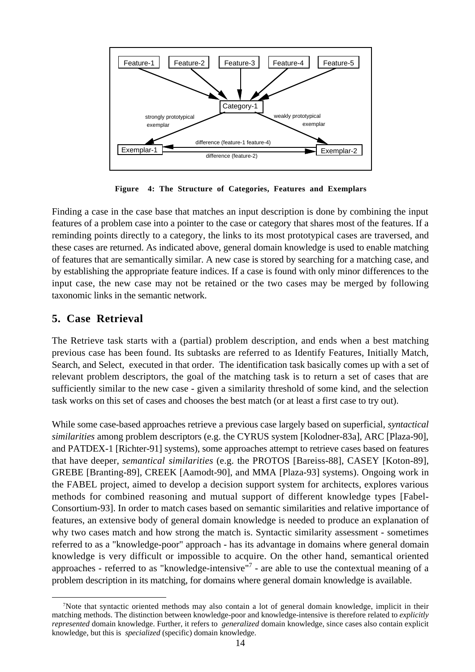

**Figure 4: The Structure of Categories, Features and Exemplars**

Finding a case in the case base that matches an input description is done by combining the input features of a problem case into a pointer to the case or category that shares most of the features. If a reminding points directly to a category, the links to its most prototypical cases are traversed, and these cases are returned. As indicated above, general domain knowledge is used to enable matching of features that are semantically similar. A new case is stored by searching for a matching case, and by establishing the appropriate feature indices. If a case is found with only minor differences to the input case, the new case may not be retained or the two cases may be merged by following taxonomic links in the semantic network.

# **5. Case Retrieval**

The Retrieve task starts with a (partial) problem description, and ends when a best matching previous case has been found. Its subtasks are referred to as Identify Features, Initially Match, Search, and Select, executed in that order. The identification task basically comes up with a set of relevant problem descriptors, the goal of the matching task is to return a set of cases that are sufficiently similar to the new case - given a similarity threshold of some kind, and the selection task works on this set of cases and chooses the best match (or at least a first case to try out).

While some case-based approaches retrieve a previous case largely based on superficial, *syntactical similarities* among problem descriptors (e.g. the CYRUS system [Kolodner-83a], ARC [Plaza-90], and PATDEX-1 [Richter-91] systems), some approaches attempt to retrieve cases based on features that have deeper, *semantical similarities* (e.g. the PROTOS [Bareiss-88], CASEY [Koton-89], GREBE [Branting-89], CREEK [Aamodt-90], and MMA [Plaza-93] systems). Ongoing work in the FABEL project, aimed to develop a decision support system for architects, explores various methods for combined reasoning and mutual support of different knowledge types [Fabel-Consortium-93]. In order to match cases based on semantic similarities and relative importance of features, an extensive body of general domain knowledge is needed to produce an explanation of why two cases match and how strong the match is. Syntactic similarity assessment - sometimes referred to as a "knowledge-poor" approach - has its advantage in domains where general domain knowledge is very difficult or impossible to acquire. On the other hand, semantical oriented approaches - referred to as "knowledge-intensive"<sup>7</sup> - are able to use the contextual meaning of a problem description in its matching, for domains where general domain knowledge is available.

<sup>7</sup>Note that syntactic oriented methods may also contain a lot of general domain knowledge, implicit in their matching methods. The distinction between knowledge-poor and knowledge-intensive is therefore related to *explicitly represented* domain knowledge. Further, it refers to *generalized* domain knowledge, since cases also contain explicit knowledge, but this is *specialized* (specific) domain knowledge.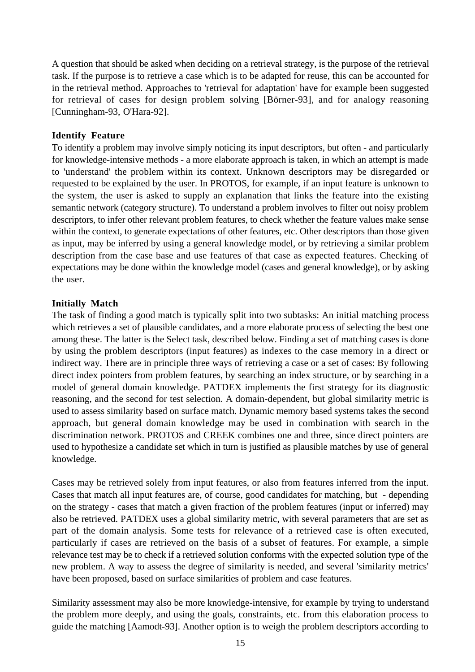A question that should be asked when deciding on a retrieval strategy, is the purpose of the retrieval task. If the purpose is to retrieve a case which is to be adapted for reuse, this can be accounted for in the retrieval method. Approaches to 'retrieval for adaptation' have for example been suggested for retrieval of cases for design problem solving [Börner-93], and for analogy reasoning [Cunningham-93, O'Hara-92].

### **Identify Feature**

To identify a problem may involve simply noticing its input descriptors, but often - and particularly for knowledge-intensive methods - a more elaborate approach is taken, in which an attempt is made to 'understand' the problem within its context. Unknown descriptors may be disregarded or requested to be explained by the user. In PROTOS, for example, if an input feature is unknown to the system, the user is asked to supply an explanation that links the feature into the existing semantic network (category structure). To understand a problem involves to filter out noisy problem descriptors, to infer other relevant problem features, to check whether the feature values make sense within the context, to generate expectations of other features, etc. Other descriptors than those given as input, may be inferred by using a general knowledge model, or by retrieving a similar problem description from the case base and use features of that case as expected features. Checking of expectations may be done within the knowledge model (cases and general knowledge), or by asking the user.

### **Initially Match**

The task of finding a good match is typically split into two subtasks: An initial matching process which retrieves a set of plausible candidates, and a more elaborate process of selecting the best one among these. The latter is the Select task, described below. Finding a set of matching cases is done by using the problem descriptors (input features) as indexes to the case memory in a direct or indirect way. There are in principle three ways of retrieving a case or a set of cases: By following direct index pointers from problem features, by searching an index structure, or by searching in a model of general domain knowledge. PATDEX implements the first strategy for its diagnostic reasoning, and the second for test selection. A domain-dependent, but global similarity metric is used to assess similarity based on surface match. Dynamic memory based systems takes the second approach, but general domain knowledge may be used in combination with search in the discrimination network. PROTOS and CREEK combines one and three, since direct pointers are used to hypothesize a candidate set which in turn is justified as plausible matches by use of general knowledge.

Cases may be retrieved solely from input features, or also from features inferred from the input. Cases that match all input features are, of course, good candidates for matching, but - depending on the strategy - cases that match a given fraction of the problem features (input or inferred) may also be retrieved. PATDEX uses a global similarity metric, with several parameters that are set as part of the domain analysis. Some tests for relevance of a retrieved case is often executed, particularly if cases are retrieved on the basis of a subset of features. For example, a simple relevance test may be to check if a retrieved solution conforms with the expected solution type of the new problem. A way to assess the degree of similarity is needed, and several 'similarity metrics' have been proposed, based on surface similarities of problem and case features.

Similarity assessment may also be more knowledge-intensive, for example by trying to understand the problem more deeply, and using the goals, constraints, etc. from this elaboration process to guide the matching [Aamodt-93]. Another option is to weigh the problem descriptors according to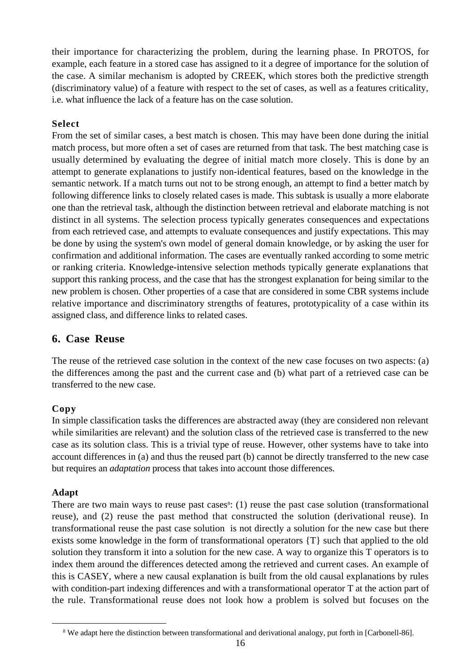their importance for characterizing the problem, during the learning phase. In PROTOS, for example, each feature in a stored case has assigned to it a degree of importance for the solution of the case. A similar mechanism is adopted by CREEK, which stores both the predictive strength (discriminatory value) of a feature with respect to the set of cases, as well as a features criticality, i.e. what influence the lack of a feature has on the case solution.

# **Select**

From the set of similar cases, a best match is chosen. This may have been done during the initial match process, but more often a set of cases are returned from that task. The best matching case is usually determined by evaluating the degree of initial match more closely. This is done by an attempt to generate explanations to justify non-identical features, based on the knowledge in the semantic network. If a match turns out not to be strong enough, an attempt to find a better match by following difference links to closely related cases is made. This subtask is usually a more elaborate one than the retrieval task, although the distinction between retrieval and elaborate matching is not distinct in all systems. The selection process typically generates consequences and expectations from each retrieved case, and attempts to evaluate consequences and justify expectations. This may be done by using the system's own model of general domain knowledge, or by asking the user for confirmation and additional information. The cases are eventually ranked according to some metric or ranking criteria. Knowledge-intensive selection methods typically generate explanations that support this ranking process, and the case that has the strongest explanation for being similar to the new problem is chosen. Other properties of a case that are considered in some CBR systems include relative importance and discriminatory strengths of features, prototypicality of a case within its assigned class, and difference links to related cases.

# **6. Case Reuse**

The reuse of the retrieved case solution in the context of the new case focuses on two aspects: (a) the differences among the past and the current case and (b) what part of a retrieved case can be transferred to the new case.

# **Copy**

In simple classification tasks the differences are abstracted away (they are considered non relevant while similarities are relevant) and the solution class of the retrieved case is transferred to the new case as its solution class. This is a trivial type of reuse. However, other systems have to take into account differences in (a) and thus the reused part (b) cannot be directly transferred to the new case but requires an *adaptation* process that takes into account those differences.

# **Adapt**

There are two main ways to reuse past cases<sup>8</sup>: (1) reuse the past case solution (transformational reuse), and (2) reuse the past method that constructed the solution (derivational reuse). In transformational reuse the past case solution is not directly a solution for the new case but there exists some knowledge in the form of transformational operators {T} such that applied to the old solution they transform it into a solution for the new case. A way to organize this T operators is to index them around the differences detected among the retrieved and current cases. An example of this is CASEY, where a new causal explanation is built from the old causal explanations by rules with condition-part indexing differences and with a transformational operator T at the action part of the rule. Transformational reuse does not look how a problem is solved but focuses on the

<sup>8</sup> We adapt here the distinction between transformational and derivational analogy, put forth in [Carbonell-86].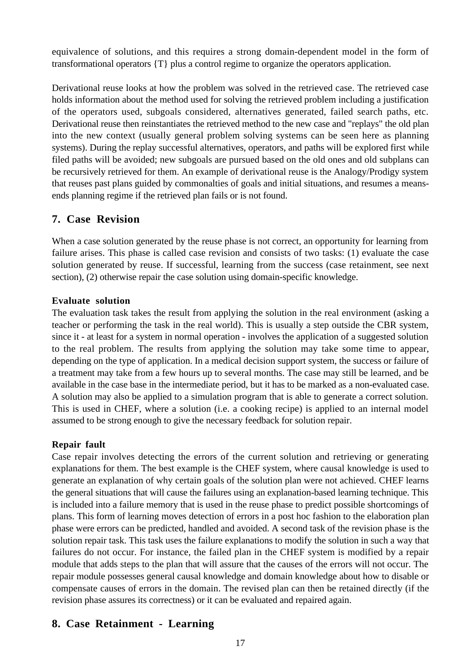equivalence of solutions, and this requires a strong domain-dependent model in the form of transformational operators {T} plus a control regime to organize the operators application.

Derivational reuse looks at how the problem was solved in the retrieved case. The retrieved case holds information about the method used for solving the retrieved problem including a justification of the operators used, subgoals considered, alternatives generated, failed search paths, etc. Derivational reuse then reinstantiates the retrieved method to the new case and "replays" the old plan into the new context (usually general problem solving systems can be seen here as planning systems). During the replay successful alternatives, operators, and paths will be explored first while filed paths will be avoided; new subgoals are pursued based on the old ones and old subplans can be recursively retrieved for them. An example of derivational reuse is the Analogy/Prodigy system that reuses past plans guided by commonalties of goals and initial situations, and resumes a meansends planning regime if the retrieved plan fails or is not found.

# **7. Case Revision**

When a case solution generated by the reuse phase is not correct, an opportunity for learning from failure arises. This phase is called case revision and consists of two tasks: (1) evaluate the case solution generated by reuse. If successful, learning from the success (case retainment, see next section), (2) otherwise repair the case solution using domain-specific knowledge.

# **Evaluate solution**

The evaluation task takes the result from applying the solution in the real environment (asking a teacher or performing the task in the real world). This is usually a step outside the CBR system, since it - at least for a system in normal operation - involves the application of a suggested solution to the real problem. The results from applying the solution may take some time to appear, depending on the type of application. In a medical decision support system, the success or failure of a treatment may take from a few hours up to several months. The case may still be learned, and be available in the case base in the intermediate period, but it has to be marked as a non-evaluated case. A solution may also be applied to a simulation program that is able to generate a correct solution. This is used in CHEF, where a solution (i.e. a cooking recipe) is applied to an internal model assumed to be strong enough to give the necessary feedback for solution repair.

# **Repair fault**

Case repair involves detecting the errors of the current solution and retrieving or generating explanations for them. The best example is the CHEF system, where causal knowledge is used to generate an explanation of why certain goals of the solution plan were not achieved. CHEF learns the general situations that will cause the failures using an explanation-based learning technique. This is included into a failure memory that is used in the reuse phase to predict possible shortcomings of plans. This form of learning moves detection of errors in a post hoc fashion to the elaboration plan phase were errors can be predicted, handled and avoided. A second task of the revision phase is the solution repair task. This task uses the failure explanations to modify the solution in such a way that failures do not occur. For instance, the failed plan in the CHEF system is modified by a repair module that adds steps to the plan that will assure that the causes of the errors will not occur. The repair module possesses general causal knowledge and domain knowledge about how to disable or compensate causes of errors in the domain. The revised plan can then be retained directly (if the revision phase assures its correctness) or it can be evaluated and repaired again.

# **8. Case Retainment - Learning**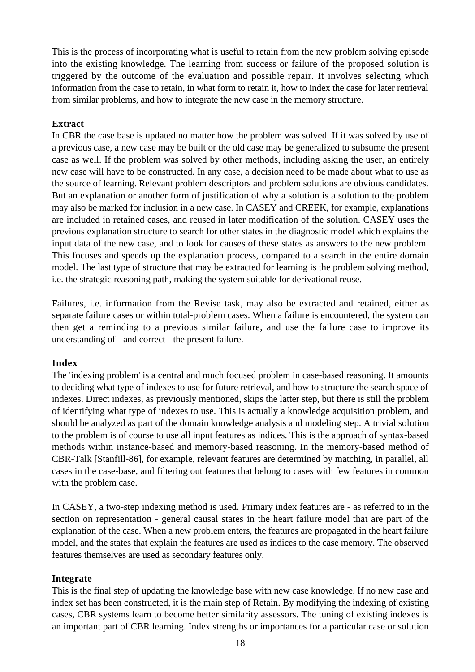This is the process of incorporating what is useful to retain from the new problem solving episode into the existing knowledge. The learning from success or failure of the proposed solution is triggered by the outcome of the evaluation and possible repair. It involves selecting which information from the case to retain, in what form to retain it, how to index the case for later retrieval from similar problems, and how to integrate the new case in the memory structure.

# **Extract**

In CBR the case base is updated no matter how the problem was solved. If it was solved by use of a previous case, a new case may be built or the old case may be generalized to subsume the present case as well. If the problem was solved by other methods, including asking the user, an entirely new case will have to be constructed. In any case, a decision need to be made about what to use as the source of learning. Relevant problem descriptors and problem solutions are obvious candidates. But an explanation or another form of justification of why a solution is a solution to the problem may also be marked for inclusion in a new case. In CASEY and CREEK, for example, explanations are included in retained cases, and reused in later modification of the solution. CASEY uses the previous explanation structure to search for other states in the diagnostic model which explains the input data of the new case, and to look for causes of these states as answers to the new problem. This focuses and speeds up the explanation process, compared to a search in the entire domain model. The last type of structure that may be extracted for learning is the problem solving method, i.e. the strategic reasoning path, making the system suitable for derivational reuse.

Failures, i.e. information from the Revise task, may also be extracted and retained, either as separate failure cases or within total-problem cases. When a failure is encountered, the system can then get a reminding to a previous similar failure, and use the failure case to improve its understanding of - and correct - the present failure.

# **Index**

The 'indexing problem' is a central and much focused problem in case-based reasoning. It amounts to deciding what type of indexes to use for future retrieval, and how to structure the search space of indexes. Direct indexes, as previously mentioned, skips the latter step, but there is still the problem of identifying what type of indexes to use. This is actually a knowledge acquisition problem, and should be analyzed as part of the domain knowledge analysis and modeling step. A trivial solution to the problem is of course to use all input features as indices. This is the approach of syntax-based methods within instance-based and memory-based reasoning. In the memory-based method of CBR-Talk [Stanfill-86], for example, relevant features are determined by matching, in parallel, all cases in the case-base, and filtering out features that belong to cases with few features in common with the problem case.

In CASEY, a two-step indexing method is used. Primary index features are - as referred to in the section on representation - general causal states in the heart failure model that are part of the explanation of the case. When a new problem enters, the features are propagated in the heart failure model, and the states that explain the features are used as indices to the case memory. The observed features themselves are used as secondary features only.

# **Integrate**

This is the final step of updating the knowledge base with new case knowledge. If no new case and index set has been constructed, it is the main step of Retain. By modifying the indexing of existing cases, CBR systems learn to become better similarity assessors. The tuning of existing indexes is an important part of CBR learning. Index strengths or importances for a particular case or solution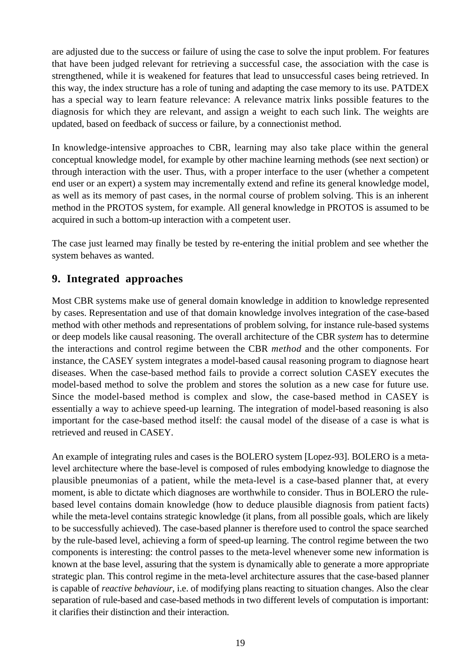are adjusted due to the success or failure of using the case to solve the input problem. For features that have been judged relevant for retrieving a successful case, the association with the case is strengthened, while it is weakened for features that lead to unsuccessful cases being retrieved. In this way, the index structure has a role of tuning and adapting the case memory to its use. PATDEX has a special way to learn feature relevance: A relevance matrix links possible features to the diagnosis for which they are relevant, and assign a weight to each such link. The weights are updated, based on feedback of success or failure, by a connectionist method.

In knowledge-intensive approaches to CBR, learning may also take place within the general conceptual knowledge model, for example by other machine learning methods (see next section) or through interaction with the user. Thus, with a proper interface to the user (whether a competent end user or an expert) a system may incrementally extend and refine its general knowledge model, as well as its memory of past cases, in the normal course of problem solving. This is an inherent method in the PROTOS system, for example. All general knowledge in PROTOS is assumed to be acquired in such a bottom-up interaction with a competent user.

The case just learned may finally be tested by re-entering the initial problem and see whether the system behaves as wanted.

# **9. Integrated approaches**

Most CBR systems make use of general domain knowledge in addition to knowledge represented by cases. Representation and use of that domain knowledge involves integration of the case-based method with other methods and representations of problem solving, for instance rule-based systems or deep models like causal reasoning. The overall architecture of the CBR *system* has to determine the interactions and control regime between the CBR *method* and the other components. For instance, the CASEY system integrates a model-based causal reasoning program to diagnose heart diseases. When the case-based method fails to provide a correct solution CASEY executes the model-based method to solve the problem and stores the solution as a new case for future use. Since the model-based method is complex and slow, the case-based method in CASEY is essentially a way to achieve speed-up learning. The integration of model-based reasoning is also important for the case-based method itself: the causal model of the disease of a case is what is retrieved and reused in CASEY.

An example of integrating rules and cases is the BOLERO system [Lopez-93]. BOLERO is a metalevel architecture where the base-level is composed of rules embodying knowledge to diagnose the plausible pneumonias of a patient, while the meta-level is a case-based planner that, at every moment, is able to dictate which diagnoses are worthwhile to consider. Thus in BOLERO the rulebased level contains domain knowledge (how to deduce plausible diagnosis from patient facts) while the meta-level contains strategic knowledge (it plans, from all possible goals, which are likely to be successfully achieved). The case-based planner is therefore used to control the space searched by the rule-based level, achieving a form of speed-up learning. The control regime between the two components is interesting: the control passes to the meta-level whenever some new information is known at the base level, assuring that the system is dynamically able to generate a more appropriate strategic plan. This control regime in the meta-level architecture assures that the case-based planner is capable of *reactive behaviour*, i.e. of modifying plans reacting to situation changes. Also the clear separation of rule-based and case-based methods in two different levels of computation is important: it clarifies their distinction and their interaction.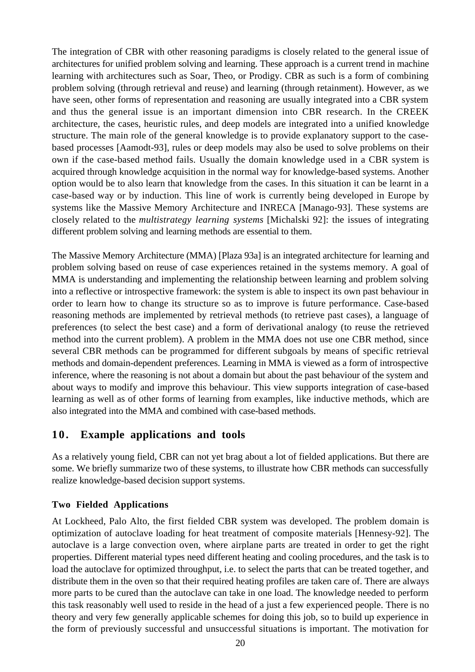The integration of CBR with other reasoning paradigms is closely related to the general issue of architectures for unified problem solving and learning. These approach is a current trend in machine learning with architectures such as Soar, Theo, or Prodigy. CBR as such is a form of combining problem solving (through retrieval and reuse) and learning (through retainment). However, as we have seen, other forms of representation and reasoning are usually integrated into a CBR system and thus the general issue is an important dimension into CBR research. In the CREEK architecture, the cases, heuristic rules, and deep models are integrated into a unified knowledge structure. The main role of the general knowledge is to provide explanatory support to the casebased processes [Aamodt-93], rules or deep models may also be used to solve problems on their own if the case-based method fails. Usually the domain knowledge used in a CBR system is acquired through knowledge acquisition in the normal way for knowledge-based systems. Another option would be to also learn that knowledge from the cases. In this situation it can be learnt in a case-based way or by induction. This line of work is currently being developed in Europe by systems like the Massive Memory Architecture and INRECA [Manago-93]. These systems are closely related to the *multistrategy learning systems* [Michalski 92]: the issues of integrating different problem solving and learning methods are essential to them.

The Massive Memory Architecture (MMA) [Plaza 93a] is an integrated architecture for learning and problem solving based on reuse of case experiences retained in the systems memory. A goal of MMA is understanding and implementing the relationship between learning and problem solving into a reflective or introspective framework: the system is able to inspect its own past behaviour in order to learn how to change its structure so as to improve is future performance. Case-based reasoning methods are implemented by retrieval methods (to retrieve past cases), a language of preferences (to select the best case) and a form of derivational analogy (to reuse the retrieved method into the current problem). A problem in the MMA does not use one CBR method, since several CBR methods can be programmed for different subgoals by means of specific retrieval methods and domain-dependent preferences. Learning in MMA is viewed as a form of introspective inference, where the reasoning is not about a domain but about the past behaviour of the system and about ways to modify and improve this behaviour. This view supports integration of case-based learning as well as of other forms of learning from examples, like inductive methods, which are also integrated into the MMA and combined with case-based methods.

# **10. Example applications and tools**

As a relatively young field, CBR can not yet brag about a lot of fielded applications. But there are some. We briefly summarize two of these systems, to illustrate how CBR methods can successfully realize knowledge-based decision support systems.

# **Two Fielded Applications**

At Lockheed, Palo Alto, the first fielded CBR system was developed. The problem domain is optimization of autoclave loading for heat treatment of composite materials [Hennesy-92]. The autoclave is a large convection oven, where airplane parts are treated in order to get the right properties. Different material types need different heating and cooling procedures, and the task is to load the autoclave for optimized throughput, i.e. to select the parts that can be treated together, and distribute them in the oven so that their required heating profiles are taken care of. There are always more parts to be cured than the autoclave can take in one load. The knowledge needed to perform this task reasonably well used to reside in the head of a just a few experienced people. There is no theory and very few generally applicable schemes for doing this job, so to build up experience in the form of previously successful and unsuccessful situations is important. The motivation for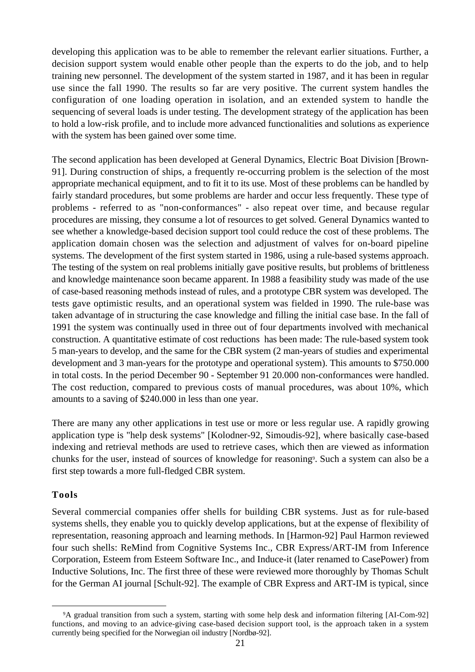developing this application was to be able to remember the relevant earlier situations. Further, a decision support system would enable other people than the experts to do the job, and to help training new personnel. The development of the system started in 1987, and it has been in regular use since the fall 1990. The results so far are very positive. The current system handles the configuration of one loading operation in isolation, and an extended system to handle the sequencing of several loads is under testing. The development strategy of the application has been to hold a low-risk profile, and to include more advanced functionalities and solutions as experience with the system has been gained over some time.

The second application has been developed at General Dynamics, Electric Boat Division [Brown-91]. During construction of ships, a frequently re-occurring problem is the selection of the most appropriate mechanical equipment, and to fit it to its use. Most of these problems can be handled by fairly standard procedures, but some problems are harder and occur less frequently. These type of problems - referred to as "non-conformances" - also repeat over time, and because regular procedures are missing, they consume a lot of resources to get solved. General Dynamics wanted to see whether a knowledge-based decision support tool could reduce the cost of these problems. The application domain chosen was the selection and adjustment of valves for on-board pipeline systems. The development of the first system started in 1986, using a rule-based systems approach. The testing of the system on real problems initially gave positive results, but problems of brittleness and knowledge maintenance soon became apparent. In 1988 a feasibility study was made of the use of case-based reasoning methods instead of rules, and a prototype CBR system was developed. The tests gave optimistic results, and an operational system was fielded in 1990. The rule-base was taken advantage of in structuring the case knowledge and filling the initial case base. In the fall of 1991 the system was continually used in three out of four departments involved with mechanical construction. A quantitative estimate of cost reductions has been made: The rule-based system took 5 man-years to develop, and the same for the CBR system (2 man-years of studies and experimental development and 3 man-years for the prototype and operational system). This amounts to \$750.000 in total costs. In the period December 90 - September 91 20.000 non-conformances were handled. The cost reduction, compared to previous costs of manual procedures, was about 10%, which amounts to a saving of \$240.000 in less than one year.

There are many any other applications in test use or more or less regular use. A rapidly growing application type is "help desk systems" [Kolodner-92, Simoudis-92], where basically case-based indexing and retrieval methods are used to retrieve cases, which then are viewed as information chunks for the user, instead of sources of knowledge for reasoning<sup>9</sup>. Such a system can also be a first step towards a more full-fledged CBR system.

### **Tools**

Several commercial companies offer shells for building CBR systems. Just as for rule-based systems shells, they enable you to quickly develop applications, but at the expense of flexibility of representation, reasoning approach and learning methods. In [Harmon-92] Paul Harmon reviewed four such shells: ReMind from Cognitive Systems Inc., CBR Express/ART-IM from Inference Corporation, Esteem from Esteem Software Inc., and Induce-it (later renamed to CasePower) from Inductive Solutions, Inc. The first three of these were reviewed more thoroughly by Thomas Schult for the German AI journal [Schult-92]. The example of CBR Express and ART-IM is typical, since

<sup>9</sup>A gradual transition from such a system, starting with some help desk and information filtering [AI-Com-92] functions, and moving to an advice-giving case-based decision support tool, is the approach taken in a system currently being specified for the Norwegian oil industry [Nordbø-92].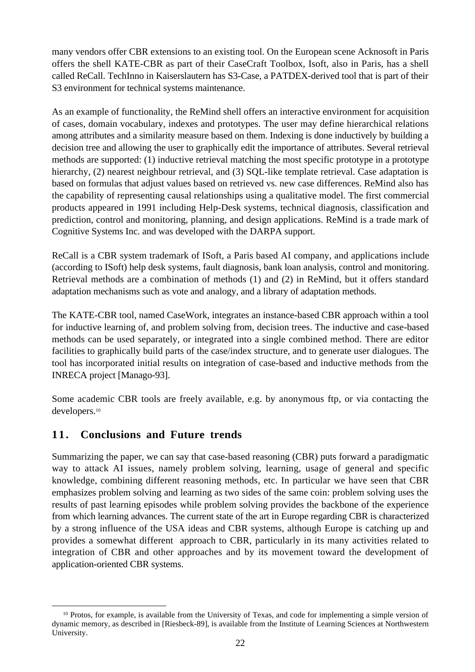many vendors offer CBR extensions to an existing tool. On the European scene Acknosoft in Paris offers the shell KATE-CBR as part of their CaseCraft Toolbox, Isoft, also in Paris, has a shell called ReCall. TechInno in Kaiserslautern has S3-Case, a PATDEX-derived tool that is part of their S3 environment for technical systems maintenance.

As an example of functionality, the ReMind shell offers an interactive environment for acquisition of cases, domain vocabulary, indexes and prototypes. The user may define hierarchical relations among attributes and a similarity measure based on them. Indexing is done inductively by building a decision tree and allowing the user to graphically edit the importance of attributes. Several retrieval methods are supported: (1) inductive retrieval matching the most specific prototype in a prototype hierarchy, (2) nearest neighbour retrieval, and (3) SOL-like template retrieval. Case adaptation is based on formulas that adjust values based on retrieved vs. new case differences. ReMind also has the capability of representing causal relationships using a qualitative model. The first commercial products appeared in 1991 including Help-Desk systems, technical diagnosis, classification and prediction, control and monitoring, planning, and design applications. ReMind is a trade mark of Cognitive Systems Inc. and was developed with the DARPA support.

ReCall is a CBR system trademark of ISoft, a Paris based AI company, and applications include (according to ISoft) help desk systems, fault diagnosis, bank loan analysis, control and monitoring. Retrieval methods are a combination of methods (1) and (2) in ReMind, but it offers standard adaptation mechanisms such as vote and analogy, and a library of adaptation methods.

The KATE-CBR tool, named CaseWork, integrates an instance-based CBR approach within a tool for inductive learning of, and problem solving from, decision trees. The inductive and case-based methods can be used separately, or integrated into a single combined method. There are editor facilities to graphically build parts of the case/index structure, and to generate user dialogues. The tool has incorporated initial results on integration of case-based and inductive methods from the INRECA project [Manago-93].

Some academic CBR tools are freely available, e.g. by anonymous ftp, or via contacting the developers.10

# **11. Conclusions and Future trends**

Summarizing the paper, we can say that case-based reasoning (CBR) puts forward a paradigmatic way to attack AI issues, namely problem solving, learning, usage of general and specific knowledge, combining different reasoning methods, etc. In particular we have seen that CBR emphasizes problem solving and learning as two sides of the same coin: problem solving uses the results of past learning episodes while problem solving provides the backbone of the experience from which learning advances. The current state of the art in Europe regarding CBR is characterized by a strong influence of the USA ideas and CBR systems, although Europe is catching up and provides a somewhat different approach to CBR, particularly in its many activities related to integration of CBR and other approaches and by its movement toward the development of application-oriented CBR systems.

<sup>&</sup>lt;sup>10</sup> Protos, for example, is available from the University of Texas, and code for implementing a simple version of dynamic memory, as described in [Riesbeck-89], is available from the Institute of Learning Sciences at Northwestern University.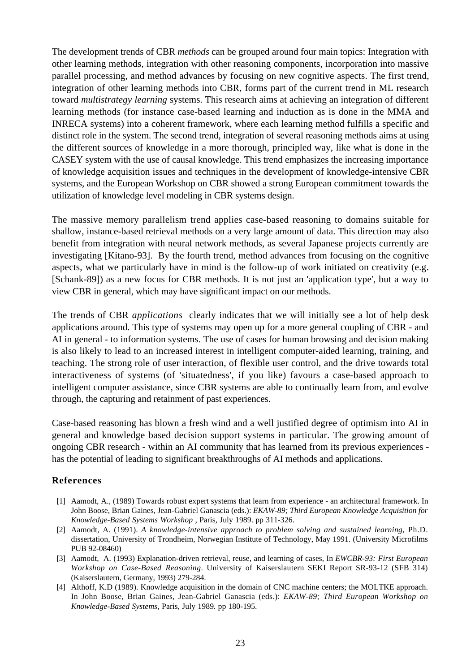The development trends of CBR *methods* can be grouped around four main topics: Integration with other learning methods, integration with other reasoning components, incorporation into massive parallel processing, and method advances by focusing on new cognitive aspects. The first trend, integration of other learning methods into CBR, forms part of the current trend in ML research toward *multistrategy learning* systems. This research aims at achieving an integration of different learning methods (for instance case-based learning and induction as is done in the MMA and INRECA systems) into a coherent framework, where each learning method fulfills a specific and distinct role in the system. The second trend, integration of several reasoning methods aims at using the different sources of knowledge in a more thorough, principled way, like what is done in the CASEY system with the use of causal knowledge. This trend emphasizes the increasing importance of knowledge acquisition issues and techniques in the development of knowledge-intensive CBR systems, and the European Workshop on CBR showed a strong European commitment towards the utilization of knowledge level modeling in CBR systems design.

The massive memory parallelism trend applies case-based reasoning to domains suitable for shallow, instance-based retrieval methods on a very large amount of data. This direction may also benefit from integration with neural network methods, as several Japanese projects currently are investigating [Kitano-93]. By the fourth trend, method advances from focusing on the cognitive aspects, what we particularly have in mind is the follow-up of work initiated on creativity (e.g. [Schank-89]) as a new focus for CBR methods. It is not just an 'application type', but a way to view CBR in general, which may have significant impact on our methods.

The trends of CBR *applications* clearly indicates that we will initially see a lot of help desk applications around. This type of systems may open up for a more general coupling of CBR - and AI in general - to information systems. The use of cases for human browsing and decision making is also likely to lead to an increased interest in intelligent computer-aided learning, training, and teaching. The strong role of user interaction, of flexible user control, and the drive towards total interactiveness of systems (of 'situatedness', if you like) favours a case-based approach to intelligent computer assistance, since CBR systems are able to continually learn from, and evolve through, the capturing and retainment of past experiences.

Case-based reasoning has blown a fresh wind and a well justified degree of optimism into AI in general and knowledge based decision support systems in particular. The growing amount of ongoing CBR research - within an AI community that has learned from its previous experiences has the potential of leading to significant breakthroughs of AI methods and applications.

### **References**

- [1] Aamodt, A., (1989) Towards robust expert systems that learn from experience an architectural framework. In John Boose, Brian Gaines, Jean-Gabriel Ganascia (eds.): *EKAW-89; Third European Knowledge Acquisition for Knowledge-Based Systems Workshop* , Paris, July 1989. pp 311-326.
- [2] Aamodt, A. (1991). *A knowledge-intensive approach to problem solving and sustained learning*, Ph.D. dissertation, University of Trondheim, Norwegian Institute of Technology, May 1991. (University Microfilms PUB 92-08460)
- [3] Aamodt, A. (1993) Explanation-driven retrieval, reuse, and learning of cases, In *EWCBR-93: First European Workshop on Case-Based Reasoning*. University of Kaiserslautern SEKI Report SR-93-12 (SFB 314) (Kaiserslautern, Germany, 1993) 279-284.
- [4] Althoff, K.D (1989). Knowledge acquisition in the domain of CNC machine centers; the MOLTKE approach. In John Boose, Brian Gaines, Jean-Gabriel Ganascia (eds.): *EKAW-89; Third European Workshop on Knowledge-Based Systems,* Paris, July 1989*.* pp 180-195.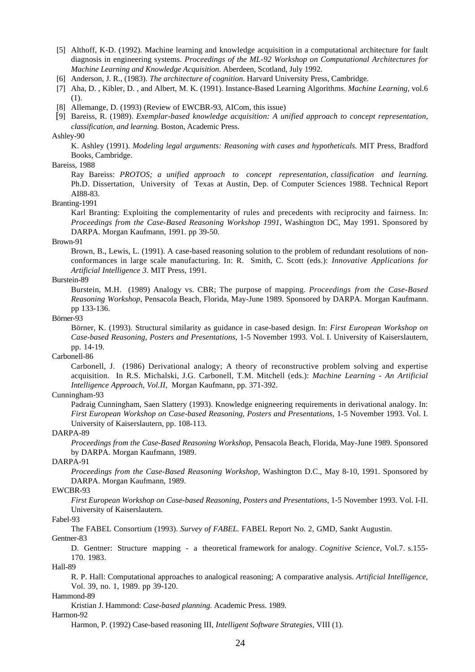- [5] Althoff, K-D. (1992). Machine learning and knowledge acquisition in a computational architecture for fault diagnosis in engineering systems. *Proceedings of the ML-92 Workshop on Computational Architectures for Machine Learning and Knowledge Acquisition*. Aberdeen, Scotland, July 1992.
- [6] Anderson, J. R., (1983). *The architecture of cognition*. Harvard University Press, Cambridge.
- [7] Aha, D. , Kibler, D. , and Albert, M. K. (1991). Instance-Based Learning Algorithms. *Machine Learning*, vol.6 (1).
- [8] Allemange, D. (1993) (Review of EWCBR-93, AICom, this issue)
- [9] Bareiss, R. (1989). *Exemplar-based knowledge acquisition: A unified approach to concept representation, classification, and learning.* Boston, Academic Press.

#### Ashley-90

K. Ashley (1991). *Modeling legal arguments: Reasoning with cases and hypotheticals.* MIT Press, Bradford Books, Cambridge.

#### Bareiss, 1988

Ray Bareiss: *PROTOS; a unified approach to concept representation, classification and learning*. Ph.D. Dissertation, University of Texas at Austin, Dep. of Computer Sciences 1988. Technical Report AI88-83.

#### Branting-1991

Karl Branting: Exploiting the complementarity of rules and precedents with reciprocity and fairness. In: *Proceedings from the Case-Based Reasoning Workshop 1991*, Washington DC, May 1991. Sponsored by DARPA. Morgan Kaufmann, 1991. pp 39-50.

#### Brown-91

Brown, B., Lewis, L. (1991). A case-based reasoning solution to the problem of redundant resolutions of nonconformances in large scale manufacturing. In: R. Smith, C. Scott (eds.): *Innovative Applications for Artificial Intelligence 3*. MIT Press, 1991.

#### Burstein-89

Burstein, M.H. (1989) Analogy vs. CBR; The purpose of mapping. *Proceedings from the Case-Based Reasoning Workshop*, Pensacola Beach, Florida, May-June 1989. Sponsored by DARPA. Morgan Kaufmann. pp 133-136.

#### Börner-93

Börner, K. (1993). Structural similarity as guidance in case-based design. In: *First European Workshop on Case-based Reasoning, Posters and Presentations,* 1-5 November 1993. Vol. I. University of Kaiserslautern, pp. 14-19.

#### Carbonell-86

Carbonell, J. (1986) Derivational analogy; A theory of reconstructive problem solving and expertise acquisition. In R.S. Michalski, J.G. Carbonell, T.M. Mitchell (eds.): *Machine Learning - An Artificial Intelligence Approach, Vol.II*, Morgan Kaufmann, pp. 371-392.

#### Cunningham-93

Padraig Cunningham, Saen Slattery (1993). Knowledge enigneering requirements in derivational analogy. In: *First European Workshop on Case-based Reasoning, Posters and Presentations,* 1-5 November 1993. Vol. I. University of Kaiserslautern, pp. 108-113.

#### DARPA-89

*Proceedings from the Case-Based Reasoning Workshop*, Pensacola Beach, Florida, May-June 1989. Sponsored by DARPA. Morgan Kaufmann, 1989.

#### DARPA-91

*Proceedings from the Case-Based Reasoning Workshop*, Washington D.C., May 8-10, 1991. Sponsored by DARPA. Morgan Kaufmann, 1989.

#### EWCBR-93

*First European Workshop on Case-based Reasoning, Posters and Presentations,* 1-5 November 1993. Vol. I-II. University of Kaiserslautern.

#### Fabel-93

The FABEL Consortium (1993). *Survey of FABEL.* FABEL Report No. 2, GMD, Sankt Augustin.

#### Gentner-83

D. Gentner: Structure mapping - a theoretical framework for analogy. *Cognitive Science*, Vol.7. s.155- 170. 1983.

Hall-89

R. P. Hall: Computational approaches to analogical reasoning; A comparative analysis. *Artificial Intelligence*, Vol. 39, no. 1, 1989. pp 39-120.

#### Hammond-89

Kristian J. Hammond: *Case-based planning*. Academic Press. 1989.

#### Harmon-92

Harmon, P. (1992) Case-based reasoning III, *Intelligent Software Strategies*, VIII (1).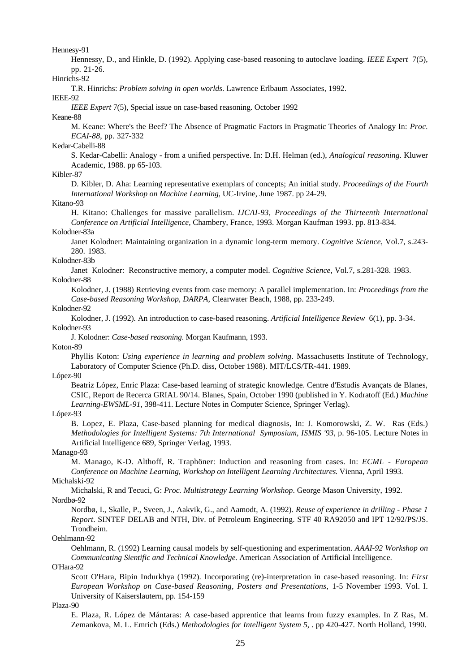Hennesy-91

Hennessy, D., and Hinkle, D. (1992). Applying case-based reasoning to autoclave loading. *IEEE Expert* 7(5), pp. 21-26.

Hinrichs-92

T.R. Hinrichs: *Problem solving in open worlds*. Lawrence Erlbaum Associates, 1992.

IEEE-92

*IEEE Expert* 7(5), Special issue on case-based reasoning. October 1992

Keane-88

M. Keane: Where's the Beef? The Absence of Pragmatic Factors in Pragmatic Theories of Analogy In: *Proc. ECAI-88*, pp. 327-332

#### Kedar-Cabelli-88

S. Kedar-Cabelli: Analogy - from a unified perspective. In: D.H. Helman (ed.), *Analogical reasoning*. Kluwer Academic, 1988. pp 65-103.

#### Kibler-87

D. Kibler, D. Aha: Learning representative exemplars of concepts; An initial study. *Proceedings of the Fourth International Workshop on Machine Learning*, UC-Irvine, June 1987. pp 24-29.

#### Kitano-93

H. Kitano: Challenges for massive parallelism. *IJCAI-93, Proceedings of the Thirteenth International Conference on Artificial Intelligence*, Chambery, France, 1993. Morgan Kaufman 1993. pp. 813-834.

#### Kolodner-83a

Janet Kolodner: Maintaining organization in a dynamic long-term memory. *Cognitive Science*, Vol.7, s.243- 280. 1983.

#### Kolodner-83b

Janet Kolodner: Reconstructive memory, a computer model. *Cognitive Science*, Vol.7, s.281-328. 1983. Kolodner-88

Kolodner, J. (1988) Retrieving events from case memory: A parallel implementation. In: *Proceedings from the Case-based Reasoning Workshop, DARPA,* Clearwater Beach, 1988, pp. 233-249.

#### Kolodner-92

Kolodner, J. (1992). An introduction to case-based reasoning. *Artificial Intelligence Review* 6(1), pp. 3-34. Kolodner-93

J. Kolodner: *Case-based reasoning*. Morgan Kaufmann, 1993.

#### Koton-89

Phyllis Koton: *Using experience in learning and problem solving*. Massachusetts Institute of Technology, Laboratory of Computer Science (Ph.D. diss, October 1988). MIT/LCS/TR-441. 1989.

#### López-90

Beatriz López, Enric Plaza: Case-based learning of strategic knowledge. Centre d'Estudis Avançats de Blanes, CSIC, Report de Recerca GRIAL 90/14. Blanes, Spain, October 1990 (published in Y. Kodratoff (Ed.) *Machine Learning-EWSML-91*, 398-411. Lecture Notes in Computer Science, Springer Verlag).

#### López-93

B. Lopez, E. Plaza, Case-based planning for medical diagnosis, In: J. Komorowski, Z. W. Ras (Eds.) *Methodologies for Intelligent Systems: 7th International Symposium, ISMIS '93*, p. 96-105. Lecture Notes in Artificial Intelligence 689, Springer Verlag, 1993.

#### Manago-93

M. Manago, K-D. Althoff, R. Traphöner: Induction and reasoning from cases. In: *ECML - European Conference on Machine Learning, Workshop on Intelligent Learning Architectures.* Vienna, April 1993.

### Michalski-92

Michalski, R and Tecuci, G: *Proc. Multistrategy Learning Workshop*. George Mason University, 1992. Nordbø-92

Nordbø, I., Skalle, P., Sveen, J., Aakvik, G., and Aamodt, A. (1992). *Reuse of experience in drilling - Phase 1 Report*. SINTEF DELAB and NTH, Div. of Petroleum Engineering. STF 40 RA92050 and IPT 12/92/PS/JS. Trondheim.

#### Oehlmann-92

Oehlmann, R. (1992) Learning causal models by self-questioning and experimentation. *AAAI-92 Workshop on Communicating Sientific and Technical Knowledge.* American Association of Artificial Intelligence.

O'Hara-92

Scott O'Hara, Bipin Indurkhya (1992). Incorporating (re)-interpretation in case-based reasoning. In: *First European Workshop on Case-based Reasoning, Posters and Presentations,* 1-5 November 1993. Vol. I. University of Kaiserslautern, pp. 154-159

#### Plaza-90

E. Plaza, R. López de Mántaras: A case-based apprentice that learns from fuzzy examples. In Z Ras, M. Zemankova, M. L. Emrich (Eds.) *Methodologies for Intelligent System 5*, . pp 420-427. North Holland, 1990.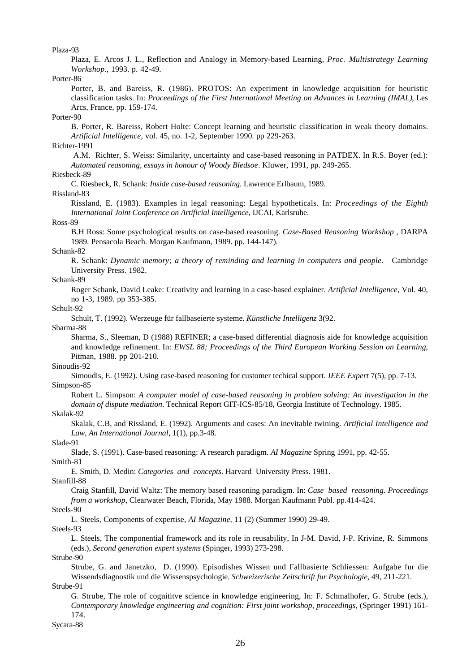Plaza-93

Plaza, E. Arcos J. L., Reflection and Analogy in Memory-based Learning, *Proc. Multistrategy Learning Workshop*., 1993. p. 42-49.

Porter-86

Porter, B. and Bareiss, R. (1986). PROTOS: An experiment in knowledge acquisition for heuristic classification tasks. In: *Proceedings of the First International Meeting on Advances in Learning (IMAL)*, Les Arcs, France, pp. 159-174.

Porter-90

B. Porter, R. Bareiss, Robert Holte: Concept learning and heuristic classification in weak theory domains. *Artificial Intelligence*, vol. 45, no. 1-2, September 1990. pp 229-263.

Richter-1991

 A.M. Richter, S. Weiss: Similarity, uncertainty and case-based reasoning in PATDEX. In R.S. Boyer (ed.): *Automated reasoning, essays in honour of Woody Bledsoe*. Kluwer, 1991, pp. 249-265.

Riesbeck-89

C. Riesbeck, R. Schank: *Inside case-based reasoning*. Lawrence Erlbaum, 1989.

Rissland-83

Rissland, E. (1983). Examples in legal reasoning: Legal hypotheticals. In: *Proceedings of the Eighth International Joint Conference on Artificial Intelligence,* IJCAI, Karlsruhe.

Ross-89

B.H Ross: Some psychological results on case-based reasoning. *Case-Based Reasoning Workshop* , DARPA 1989. Pensacola Beach. Morgan Kaufmann, 1989. pp. 144-147).

#### Schank-82

R. Schank: *Dynamic memory; a theory of reminding and learning in computers and people*. Cambridge University Press. 1982.

#### Schank-89

Roger Schank, David Leake: Creativity and learning in a case-based explainer. *Artificial Intelligence*, Vol. 40, no 1-3, 1989. pp 353-385.

#### Schult-92

Schult, T. (1992). Werzeuge für fallbaseierte systeme. *Künstliche Intelligenz* 3(92.

Sharma-88

Sharma, S., Sleeman, D (1988) REFINER; a case-based differential diagnosis aide for knowledge acquisition and knowledge refinement. In: *EWSL 88; Proceedings of the Third European Working Session on Learning*, Pitman, 1988. pp 201-210.

#### Sinoudis-92

Simoudis, E. (1992). Using case-based reasoning for customer techical support. *IEEE Expert* 7(5), pp. 7-13. Simpson-85

Robert L. Simpson: *A computer model of case-based reasoning in problem solving: An investigation in the domain of dispute mediation*. Technical Report GIT-ICS-85/18, Georgia Institute of Technology. 1985.

#### Skalak-92

Skalak, C.B, and Rissland, E. (1992). Arguments and cases: An inevitable twining. *Artificial Intelligence and Law, An International Journal*, 1(1), pp.3-48.

Slade-91

Slade, S. (1991). Case-based reasoning: A research paradigm. *AI Magazine* Spring 1991, pp. 42-55. Smith-81

E. Smith, D. Medin: *Categories and concepts*. Harvard University Press. 1981.

Stanfill-88

Craig Stanfill, David Waltz: The memory based reasoning paradigm. In: *Case based reasoning. Proceedings from a workshop*, Clearwater Beach, Florida, May 1988. Morgan Kaufmann Publ. pp.414-424.

### Steels-90

L. Steels, Components of expertise, *AI Magazine,* 11 (2) (Summer 1990) 29-49.

Steels-93

L. Steels, The componential framework and its role in reusability, In J-M. David, J-P. Krivine, R. Simmons (eds.), *Second generation expert systems* (Spinger, 1993) 273-298.

Strube-90

Strube, G. and Janetzko, D. (1990). Episodishes Wissen und Fallbasierte Schliessen: Aufgabe fur die Wissendsdiagnostik und die Wissenspsychologie. *Schweizerische Zeitschrift fur Psychologie*, 49, 211-221. Strube-91

G. Strube, The role of cognititve science in knowledge engineering, In: F. Schmalhofer, G. Strube (eds.), *Contemporary knowledge engineering and cognition: First joint workshop, proceedings*, (Springer 1991) 161- 174.

Sycara-88